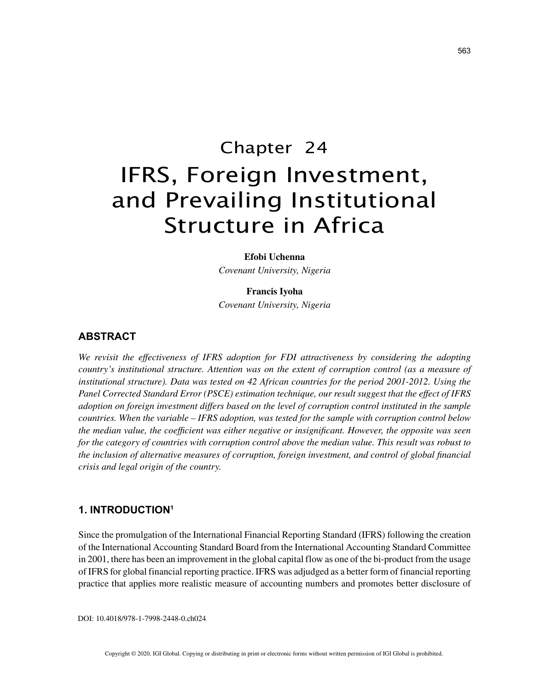# Chapter 24 IFRS, Foreign Investment, and Prevailing Institutional Structure in Africa

#### **Efobi Uchenna**

*Covenant University, Nigeria*

#### **Francis Iyoha**

*Covenant University, Nigeria*

# **ABSTRACT**

We revisit the effectiveness of IFRS adoption for FDI attractiveness by considering the adopting *country's institutional structure. Attention was on the extent of corruption control (as a measure of institutional structure). Data was tested on 42 African countries for the period 2001-2012. Using the Panel Corrected Standard Error (PSCE) estimation technique, our result suggest that the effect of IFRS adoption on foreign investment differs based on the level of corruption control instituted in the sample countries. When the variable – IFRS adoption, was tested for the sample with corruption control below the median value, the coefficient was either negative or insignificant. However, the opposite was seen for the category of countries with corruption control above the median value. This result was robust to the inclusion of alternative measures of corruption, foreign investment, and control of global financial crisis and legal origin of the country.*

## **1. INTRODUCTION1**

Since the promulgation of the International Financial Reporting Standard (IFRS) following the creation of the International Accounting Standard Board from the International Accounting Standard Committee in 2001, there has been an improvement in the global capital flow as one of the bi-product from the usage of IFRS for global financial reporting practice. IFRS was adjudged as a better form of financial reporting practice that applies more realistic measure of accounting numbers and promotes better disclosure of

DOI: 10.4018/978-1-7998-2448-0.ch024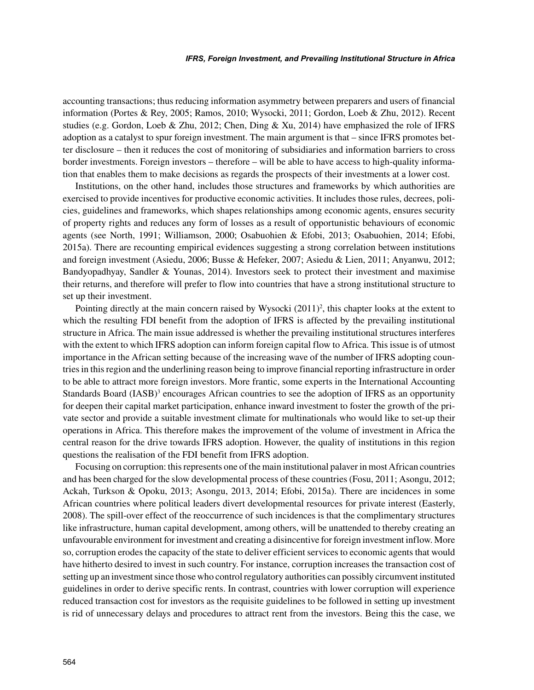accounting transactions; thus reducing information asymmetry between preparers and users of financial information (Portes & Rey, 2005; Ramos, 2010; Wysocki, 2011; Gordon, Loeb & Zhu, 2012). Recent studies (e.g. Gordon, Loeb & Zhu, 2012; Chen, Ding & Xu, 2014) have emphasized the role of IFRS adoption as a catalyst to spur foreign investment. The main argument is that – since IFRS promotes better disclosure – then it reduces the cost of monitoring of subsidiaries and information barriers to cross border investments. Foreign investors – therefore – will be able to have access to high-quality information that enables them to make decisions as regards the prospects of their investments at a lower cost.

Institutions, on the other hand, includes those structures and frameworks by which authorities are exercised to provide incentives for productive economic activities. It includes those rules, decrees, policies, guidelines and frameworks, which shapes relationships among economic agents, ensures security of property rights and reduces any form of losses as a result of opportunistic behaviours of economic agents (see North, 1991; Williamson, 2000; Osabuohien & Efobi, 2013; Osabuohien, 2014; Efobi, 2015a). There are recounting empirical evidences suggesting a strong correlation between institutions and foreign investment (Asiedu, 2006; Busse & Hefeker, 2007; Asiedu & Lien, 2011; Anyanwu, 2012; Bandyopadhyay, Sandler & Younas, 2014). Investors seek to protect their investment and maximise their returns, and therefore will prefer to flow into countries that have a strong institutional structure to set up their investment.

Pointing directly at the main concern raised by Wysocki (2011)<sup>2</sup>, this chapter looks at the extent to which the resulting FDI benefit from the adoption of IFRS is affected by the prevailing institutional structure in Africa. The main issue addressed is whether the prevailing institutional structures interferes with the extent to which IFRS adoption can inform foreign capital flow to Africa. This issue is of utmost importance in the African setting because of the increasing wave of the number of IFRS adopting countries in this region and the underlining reason being to improve financial reporting infrastructure in order to be able to attract more foreign investors. More frantic, some experts in the International Accounting Standards Board (IASB)<sup>3</sup> encourages African countries to see the adoption of IFRS as an opportunity for deepen their capital market participation, enhance inward investment to foster the growth of the private sector and provide a suitable investment climate for multinationals who would like to set-up their operations in Africa. This therefore makes the improvement of the volume of investment in Africa the central reason for the drive towards IFRS adoption. However, the quality of institutions in this region questions the realisation of the FDI benefit from IFRS adoption.

Focusing on corruption: this represents one of the main institutional palaver in most African countries and has been charged for the slow developmental process of these countries (Fosu, 2011; Asongu, 2012; Ackah, Turkson & Opoku, 2013; Asongu, 2013, 2014; Efobi, 2015a). There are incidences in some African countries where political leaders divert developmental resources for private interest (Easterly, 2008). The spill-over effect of the reoccurrence of such incidences is that the complimentary structures like infrastructure, human capital development, among others, will be unattended to thereby creating an unfavourable environment for investment and creating a disincentive for foreign investment inflow. More so, corruption erodes the capacity of the state to deliver efficient services to economic agents that would have hitherto desired to invest in such country. For instance, corruption increases the transaction cost of setting up an investment since those who control regulatory authorities can possibly circumvent instituted guidelines in order to derive specific rents. In contrast, countries with lower corruption will experience reduced transaction cost for investors as the requisite guidelines to be followed in setting up investment is rid of unnecessary delays and procedures to attract rent from the investors. Being this the case, we